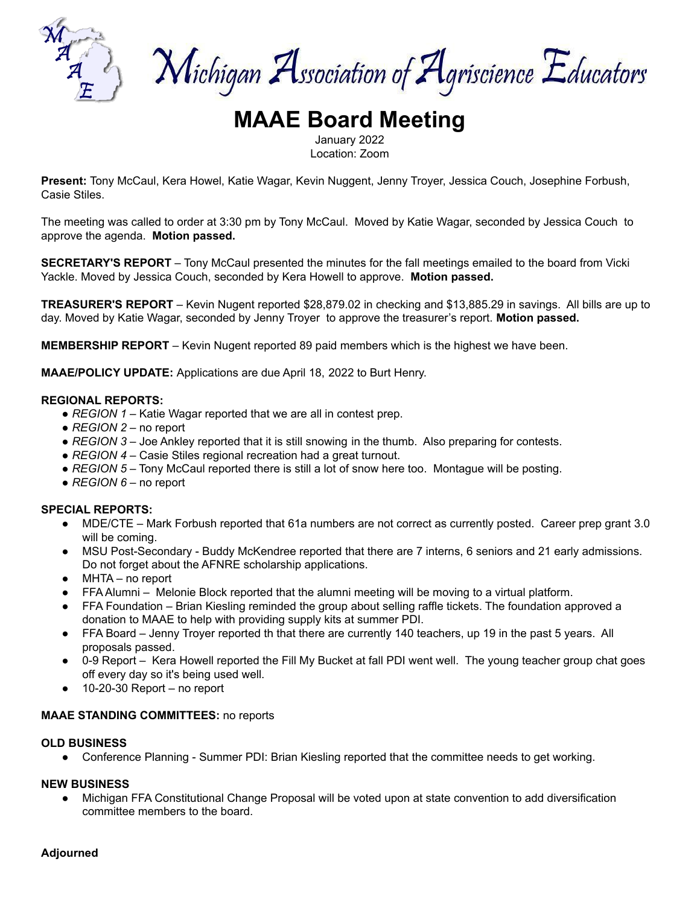

Michigan Association of Agriscience Educators

# **MAAE Board Meeting**

January 2022 Location: Zoom

**Present:** Tony McCaul, Kera Howel, Katie Wagar, Kevin Nuggent, Jenny Troyer, Jessica Couch, Josephine Forbush, Casie Stiles.

The meeting was called to order at 3:30 pm by Tony McCaul. Moved by Katie Wagar, seconded by Jessica Couch to approve the agenda. **Motion passed.**

**SECRETARY'S REPORT** – Tony McCaul presented the minutes for the fall meetings emailed to the board from Vicki Yackle. Moved by Jessica Couch, seconded by Kera Howell to approve. **Motion passed.**

**TREASURER'S REPORT** – Kevin Nugent reported \$28,879.02 in checking and \$13,885.29 in savings. All bills are up to day. Moved by Katie Wagar, seconded by Jenny Troyer to approve the treasurer's report. **Motion passed.**

**MEMBERSHIP REPORT** – Kevin Nugent reported 89 paid members which is the highest we have been.

**MAAE/POLICY UPDATE:** Applications are due April 18, 2022 to Burt Henry.

#### **REGIONAL REPORTS:**

- *REGION 1* Katie Wagar reported that we are all in contest prep.
- *REGION 2* no report
- *REGION* 3 Joe Ankley reported that it is still snowing in the thumb. Also preparing for contests.
- *REGION 4* Casie Stiles regional recreation had a great turnout.
- *REGION* 5 Tony McCaul reported there is still a lot of snow here too. Montague will be posting.
- *REGION 6* no report

#### **SPECIAL REPORTS:**

- MDE/CTE Mark Forbush reported that 61a numbers are not correct as currently posted. Career prep grant 3.0 will be coming.
- MSU Post-Secondary Buddy McKendree reported that there are 7 interns, 6 seniors and 21 early admissions. Do not forget about the AFNRE scholarship applications.
- $\bullet$  MHTA no report
- FFA Alumni Melonie Block reported that the alumni meeting will be moving to a virtual platform.
- FFA Foundation Brian Kiesling reminded the group about selling raffle tickets. The foundation approved a donation to MAAE to help with providing supply kits at summer PDI.
- FFA Board Jenny Troyer reported th that there are currently 140 teachers, up 19 in the past 5 years. All proposals passed.
- 0-9 Report Kera Howell reported the Fill My Bucket at fall PDI went well. The young teacher group chat goes off every day so it's being used well.
- 10-20-30 Report no report

#### **MAAE STANDING COMMITTEES:** no reports

#### **OLD BUSINESS**

● Conference Planning - Summer PDI: Brian Kiesling reported that the committee needs to get working.

### **NEW BUSINESS**

● Michigan FFA Constitutional Change Proposal will be voted upon at state convention to add diversification committee members to the board.